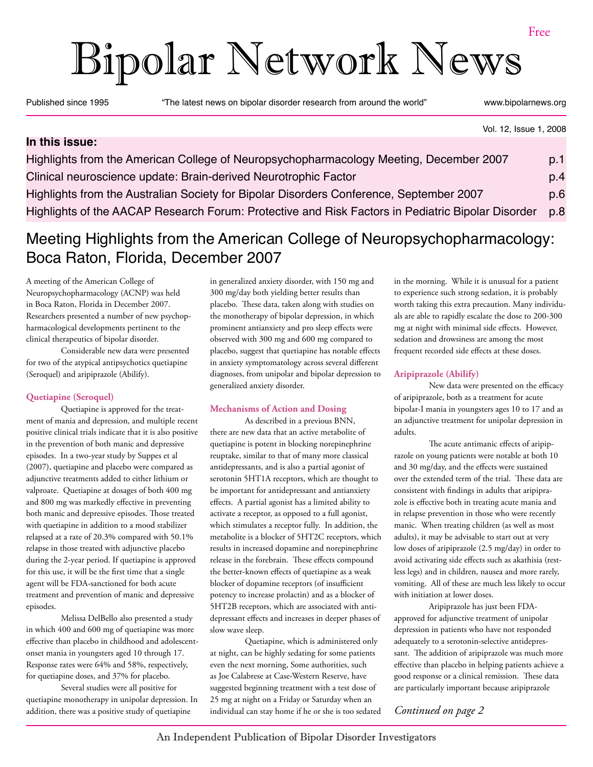# Bipolar Network News

Published since 1995 "The latest news on bipolar disorder research from around the world" www.bipolarnews.org

### Vol. 12, Issue 1, 2008 **In this issue:** Highlights from the American College of Neuropsychopharmacology Meeting, December 2007 p.1 Clinical neuroscience update: Brain-derived Neurotrophic Factor p.4 Highlights from the Australian Society for Bipolar Disorders Conference, September 2007 p.6 Highlights of the AACAP Research Forum: Protective and Risk Factors in Pediatric Bipolar Disorder p.8

### Meeting Highlights from the American College of Neuropsychopharmacology: Boca Raton, Florida, December 2007

A meeting of the American College of Neuropsychopharmacology (ACNP) was held in Boca Raton, Florida in December 2007. Researchers presented a number of new psychopharmacological developments pertinent to the clinical therapeutics of bipolar disorder.

Considerable new data were presented for two of the atypical antipsychotics quetiapine (Seroquel) and aripiprazole (Abilify).

### **Quetiapine (Seroquel)**

Quetiapine is approved for the treatment of mania and depression, and multiple recent positive clinical trials indicate that it is also positive in the prevention of both manic and depressive episodes. In a two-year study by Suppes et al (2007), quetiapine and placebo were compared as adjunctive treatments added to either lithium or valproate. Quetiapine at dosages of both 400 mg and 800 mg was markedly effective in preventing both manic and depressive episodes. Those treated with quetiapine in addition to a mood stabilizer relapsed at a rate of 20.3% compared with 50.1% relapse in those treated with adjunctive placebo during the 2-year period. If quetiapine is approved for this use, it will be the first time that a single agent will be FDA-sanctioned for both acute treatment and prevention of manic and depressive episodes.

Melissa DelBello also presented a study in which 400 and 600 mg of quetiapine was more effective than placebo in childhood and adolescentonset mania in youngsters aged 10 through 17. Response rates were 64% and 58%, respectively, for quetiapine doses, and 37% for placebo.

Several studies were all positive for quetiapine monotherapy in unipolar depression. In addition, there was a positive study of quetiapine

in generalized anxiety disorder, with 150 mg and 300 mg/day both yielding better results than placebo. These data, taken along with studies on the monotherapy of bipolar depression, in which prominent antianxiety and pro sleep effects were observed with 300 mg and 600 mg compared to placebo, suggest that quetiapine has notable effects in anxiety symptomatology across several different diagnoses, from unipolar and bipolar depression to generalized anxiety disorder.

### **Mechanisms of Action and Dosing**

As described in a previous BNN, there are new data that an active metabolite of quetiapine is potent in blocking norepinephrine reuptake, similar to that of many more classical antidepressants, and is also a partial agonist of serotonin 5HT1A receptors, which are thought to be important for antidepressant and antianxiety effects. A partial agonist has a limited ability to activate a receptor, as opposed to a full agonist, which stimulates a receptor fully. In addition, the metabolite is a blocker of 5HT2C receptors, which results in increased dopamine and norepinephrine release in the forebrain. These effects compound the better-known effects of quetiapine as a weak blocker of dopamine receptors (of insufficient potency to increase prolactin) and as a blocker of 5HT2B receptors, which are associated with antidepressant effects and increases in deeper phases of slow wave sleep.

Quetiapine, which is administered only at night, can be highly sedating for some patients even the next morning, Some authorities, such as Joe Calabrese at Case-Western Reserve, have suggested beginning treatment with a test dose of 25 mg at night on a Friday or Saturday when an individual can stay home if he or she is too sedated

in the morning. While it is unusual for a patient to experience such strong sedation, it is probably worth taking this extra precaution. Many individuals are able to rapidly escalate the dose to 200-300 mg at night with minimal side effects. However, sedation and drowsiness are among the most frequent recorded side effects at these doses.

### **Aripiprazole (Abilify)**

New data were presented on the efficacy of aripiprazole, both as a treatment for acute bipolar-I mania in youngsters ages 10 to 17 and as an adjunctive treatment for unipolar depression in adults.

The acute antimanic effects of aripiprazole on young patients were notable at both 10 and 30 mg/day, and the effects were sustained over the extended term of the trial. These data are consistent with findings in adults that aripiprazole is effective both in treating acute mania and in relapse prevention in those who were recently manic. When treating children (as well as most adults), it may be advisable to start out at very low doses of aripiprazole (2.5 mg/day) in order to avoid activating side effects such as akathisia (restless legs) and in children, nausea and more rarely, vomiting. All of these are much less likely to occur with initiation at lower doses.

Aripiprazole has just been FDAapproved for adjunctive treatment of unipolar depression in patients who have not responded adequately to a serotonin-selective antidepressant. The addition of aripiprazole was much more effective than placebo in helping patients achieve a good response or a clinical remission. These data are particularly important because aripiprazole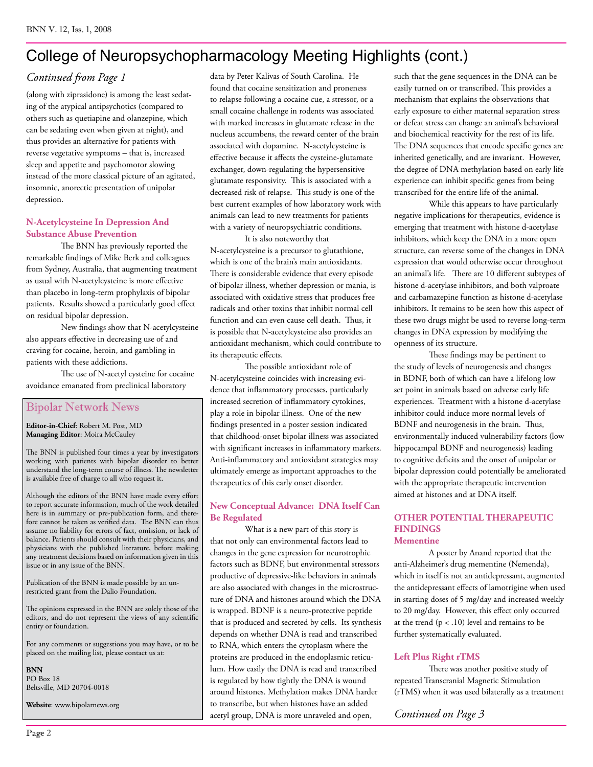### College of Neuropsychopharmacology Meeting Highlights (cont.)

### *Continued from Page 1*

(along with ziprasidone) is among the least sedating of the atypical antipsychotics (compared to others such as quetiapine and olanzepine, which can be sedating even when given at night), and thus provides an alternative for patients with reverse vegetative symptoms – that is, increased sleep and appetite and psychomotor slowing instead of the more classical picture of an agitated, insomnic, anorectic presentation of unipolar depression.

### **N-Acetylcysteine In Depression And Substance Abuse Prevention**

The BNN has previously reported the remarkable findings of Mike Berk and colleagues from Sydney, Australia, that augmenting treatment as usual with N-acetylcysteine is more effective than placebo in long-term prophylaxis of bipolar patients. Results showed a particularly good effect on residual bipolar depression.

New findings show that N-acetylcysteine also appears effective in decreasing use of and craving for cocaine, heroin, and gambling in patients with these addictions.

The use of N-acetyl cysteine for cocaine avoidance emanated from preclinical laboratory

### Bipolar Network News

**Editor-in-Chief**: Robert M. Post, MD **Managing Editor**: Moira McCauley

The BNN is published four times a year by investigators working with patients with bipolar disorder to better understand the long-term course of illness. The newsletter is available free of charge to all who request it.

Although the editors of the BNN have made every effort to report accurate information, much of the work detailed here is in summary or pre-publication form, and therefore cannot be taken as verified data. The BNN can thus assume no liability for errors of fact, omission, or lack of balance. Patients should consult with their physicians, and physicians with the published literature, before making any treatment decisions based on information given in this issue or in any issue of the BNN.

Publication of the BNN is made possible by an unrestricted grant from the Dalio Foundation.

The opinions expressed in the BNN are solely those of the editors, and do not represent the views of any scientific entity or foundation.

For any comments or suggestions you may have, or to be placed on the mailing list, please contact us at:

**BNN** PO Box 18 Beltsville, MD 20704-0018

**Website**: www.bipolarnews.org

data by Peter Kalivas of South Carolina. He found that cocaine sensitization and proneness to relapse following a cocaine cue, a stressor, or a small cocaine challenge in rodents was associated with marked increases in glutamate release in the nucleus accumbens, the reward center of the brain associated with dopamine. N-acetylcysteine is effective because it affects the cysteine-glutamate exchanger, down-regulating the hypersensitive glutamate responsivity. This is associated with a decreased risk of relapse. This study is one of the best current examples of how laboratory work with animals can lead to new treatments for patients with a variety of neuropsychiatric conditions.

It is also noteworthy that N-acetylcysteine is a precursor to glutathione, which is one of the brain's main antioxidants. There is considerable evidence that every episode of bipolar illness, whether depression or mania, is associated with oxidative stress that produces free radicals and other toxins that inhibit normal cell function and can even cause cell death. Thus, it is possible that N-acetylcysteine also provides an antioxidant mechanism, which could contribute to its therapeutic effects.

The possible antioxidant role of N-acetylcysteine coincides with increasing evidence that inflammatory processes, particularly increased secretion of inflammatory cytokines, play a role in bipolar illness. One of the new findings presented in a poster session indicated that childhood-onset bipolar illness was associated with significant increases in inflammatory markers. Anti-inflammatory and antioxidant strategies may ultimately emerge as important approaches to the therapeutics of this early onset disorder.

#### **New Conceptual Advance: DNA Itself Can Be Regulated**

What is a new part of this story is that not only can environmental factors lead to changes in the gene expression for neurotrophic factors such as BDNF, but environmental stressors productive of depressive-like behaviors in animals are also associated with changes in the microstructure of DNA and histones around which the DNA is wrapped. BDNF is a neuro-protective peptide that is produced and secreted by cells. Its synthesis depends on whether DNA is read and transcribed to RNA, which enters the cytoplasm where the proteins are produced in the endoplasmic reticulum. How easily the DNA is read and transcribed is regulated by how tightly the DNA is wound around histones. Methylation makes DNA harder to transcribe, but when histones have an added acetyl group, DNA is more unraveled and open,

such that the gene sequences in the DNA can be easily turned on or transcribed. This provides a mechanism that explains the observations that early exposure to either maternal separation stress or defeat stress can change an animal's behavioral and biochemical reactivity for the rest of its life. The DNA sequences that encode specific genes are inherited genetically, and are invariant. However, the degree of DNA methylation based on early life experience can inhibit specific genes from being transcribed for the entire life of the animal.

While this appears to have particularly negative implications for therapeutics, evidence is emerging that treatment with histone d-acetylase inhibitors, which keep the DNA in a more open structure, can reverse some of the changes in DNA expression that would otherwise occur throughout an animal's life. There are 10 different subtypes of histone d-acetylase inhibitors, and both valproate and carbamazepine function as histone d-acetylase inhibitors. It remains to be seen how this aspect of these two drugs might be used to reverse long-term changes in DNA expression by modifying the openness of its structure.

These findings may be pertinent to the study of levels of neurogenesis and changes in BDNF, both of which can have a lifelong low set point in animals based on adverse early life experiences. Treatment with a histone d-acetylase inhibitor could induce more normal levels of BDNF and neurogenesis in the brain. Thus, environmentally induced vulnerability factors (low hippocampal BDNF and neurogenesis) leading to cognitive deficits and the onset of unipolar or bipolar depression could potentially be ameliorated with the appropriate therapeutic intervention aimed at histones and at DNA itself.

#### **OTHER POTENTIAL THERAPEUTIC FINDINGS Mementine**

A poster by Anand reported that the anti-Alzheimer's drug mementine (Nemenda), which in itself is not an antidepressant, augmented the antidepressant effects of lamotrigine when used in starting doses of 5 mg/day and increased weekly to 20 mg/day. However, this effect only occurred at the trend  $(p < .10)$  level and remains to be further systematically evaluated.

### **Left Plus Right rTMS**

There was another positive study of repeated Transcranial Magnetic Stimulation (rTMS) when it was used bilaterally as a treatment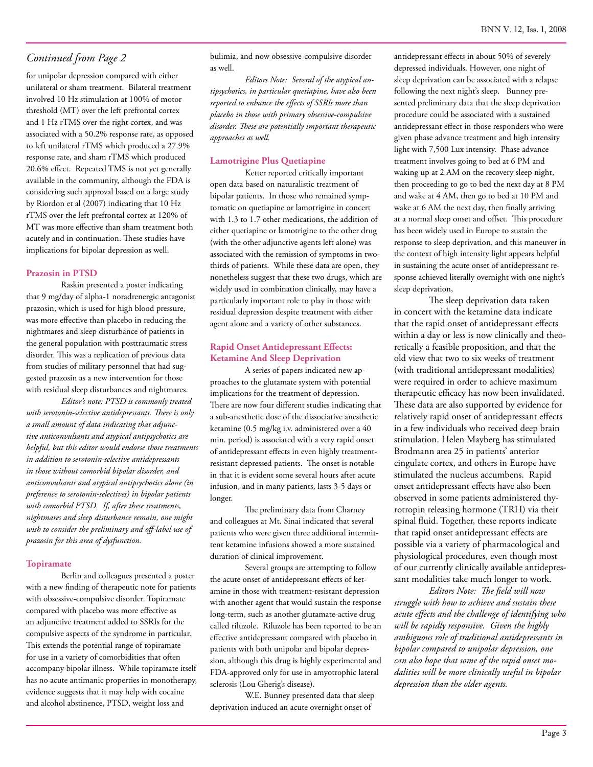for unipolar depression compared with either unilateral or sham treatment. Bilateral treatment involved 10 Hz stimulation at 100% of motor threshold (MT) over the left prefrontal cortex and 1 Hz rTMS over the right cortex, and was associated with a 50.2% response rate, as opposed to left unilateral rTMS which produced a 27.9% response rate, and sham rTMS which produced 20.6% effect. Repeated TMS is not yet generally available in the community, although the FDA is considering such approval based on a large study by Riordon et al (2007) indicating that 10 Hz rTMS over the left prefrontal cortex at 120% of MT was more effective than sham treatment both acutely and in continuation. These studies have implications for bipolar depression as well.

#### **Prazosin in PTSD**

Raskin presented a poster indicating that 9 mg/day of alpha-1 noradrenergic antagonist prazosin, which is used for high blood pressure, was more effective than placebo in reducing the nightmares and sleep disturbance of patients in the general population with posttraumatic stress disorder. This was a replication of previous data from studies of military personnel that had suggested prazosin as a new intervention for those with residual sleep disturbances and nightmares.

*Editor's note: PTSD is commonly treated with serotonin-selective antidepressants. There is only a small amount of data indicating that adjunctive anticonvulsants and atypical antipsychotics are helpful, but this editor would endorse those treatments in addition to serotonin-selective antidepressants in those without comorbid bipolar disorder, and anticonvulsants and atypical antipsychotics alone (in preference to serotonin-selectives) in bipolar patients with comorbid PTSD. If, after these treatments, nightmares and sleep disturbance remain, one might wish to consider the preliminary and off-label use of prazosin for this area of dysfunction.* 

#### **Topiramate**

Berlin and colleagues presented a poster with a new finding of therapeutic note for patients with obsessive-compulsive disorder. Topiramate compared with placebo was more effective as an adjunctive treatment added to SSRIs for the compulsive aspects of the syndrome in particular. This extends the potential range of topiramate for use in a variety of comorbidities that often accompany bipolar illness. While topiramate itself has no acute antimanic properties in monotherapy, evidence suggests that it may help with cocaine and alcohol abstinence, PTSD, weight loss and

bulimia, and now obsessive-compulsive disorder as well.

*Editors Note: Several of the atypical antipsychotics, in particular quetiapine, have also been reported to enhance the effects of SSRIs more than placebo in those with primary obsessive-compulsive disorder. These are potentially important therapeutic approaches as well.*

#### **Lamotrigine Plus Quetiapine**

Ketter reported critically important open data based on naturalistic treatment of bipolar patients. In those who remained symptomatic on quetiapine or lamotrigine in concert with 1.3 to 1.7 other medications, the addition of either quetiapine or lamotrigine to the other drug (with the other adjunctive agents left alone) was associated with the remission of symptoms in twothirds of patients. While these data are open, they nonetheless suggest that these two drugs, which are widely used in combination clinically, may have a particularly important role to play in those with residual depression despite treatment with either agent alone and a variety of other substances.

#### **Rapid Onset Antidepressant Effects: Ketamine And Sleep Deprivation**

A series of papers indicated new approaches to the glutamate system with potential implications for the treatment of depression. There are now four different studies indicating that a sub-anesthetic dose of the dissociative anesthetic ketamine (0.5 mg/kg i.v. administered over a 40 min. period) is associated with a very rapid onset of antidepressant effects in even highly treatmentresistant depressed patients. The onset is notable in that it is evident some several hours after acute infusion, and in many patients, lasts 3-5 days or longer.

The preliminary data from Charney and colleagues at Mt. Sinai indicated that several patients who were given three additional intermittent ketamine infusions showed a more sustained duration of clinical improvement.

Several groups are attempting to follow the acute onset of antidepressant effects of ketamine in those with treatment-resistant depression with another agent that would sustain the response long-term, such as another glutamate-active drug called riluzole. Riluzole has been reported to be an effective antidepressant compared with placebo in patients with both unipolar and bipolar depression, although this drug is highly experimental and FDA-approved only for use in amyotrophic lateral sclerosis (Lou Gherig's disease).

W.E. Bunney presented data that sleep deprivation induced an acute overnight onset of

antidepressant effects in about 50% of severely depressed individuals. However, one night of sleep deprivation can be associated with a relapse following the next night's sleep. Bunney presented preliminary data that the sleep deprivation procedure could be associated with a sustained antidepressant effect in those responders who were given phase advance treatment and high intensity light with 7,500 Lux intensity. Phase advance treatment involves going to bed at 6 PM and waking up at 2 AM on the recovery sleep night, then proceeding to go to bed the next day at 8 PM and wake at 4 AM, then go to bed at 10 PM and wake at 6 AM the next day, then finally arriving at a normal sleep onset and offset. This procedure has been widely used in Europe to sustain the response to sleep deprivation, and this maneuver in the context of high intensity light appears helpful in sustaining the acute onset of antidepressant response achieved literally overnight with one night's sleep deprivation,

The sleep deprivation data taken in concert with the ketamine data indicate that the rapid onset of antidepressant effects within a day or less is now clinically and theoretically a feasible proposition, and that the old view that two to six weeks of treatment (with traditional antidepressant modalities) were required in order to achieve maximum therapeutic efficacy has now been invalidated. These data are also supported by evidence for relatively rapid onset of antidepressant effects in a few individuals who received deep brain stimulation. Helen Mayberg has stimulated Brodmann area 25 in patients' anterior cingulate cortex, and others in Europe have stimulated the nucleus accumbens. Rapid onset antidepressant effects have also been observed in some patients administered thyrotropin releasing hormone (TRH) via their spinal fluid. Together, these reports indicate that rapid onset antidepressant effects are possible via a variety of pharmacological and physiological procedures, even though most of our currently clinically available antidepressant modalities take much longer to work.

*Editors Note: The field will now struggle with how to achieve and sustain these acute effects and the challenge of identifying who will be rapidly responsive. Given the highly ambiguous role of traditional antidepressants in bipolar compared to unipolar depression, one can also hope that some of the rapid onset modalities will be more clinically useful in bipolar depression than the older agents.*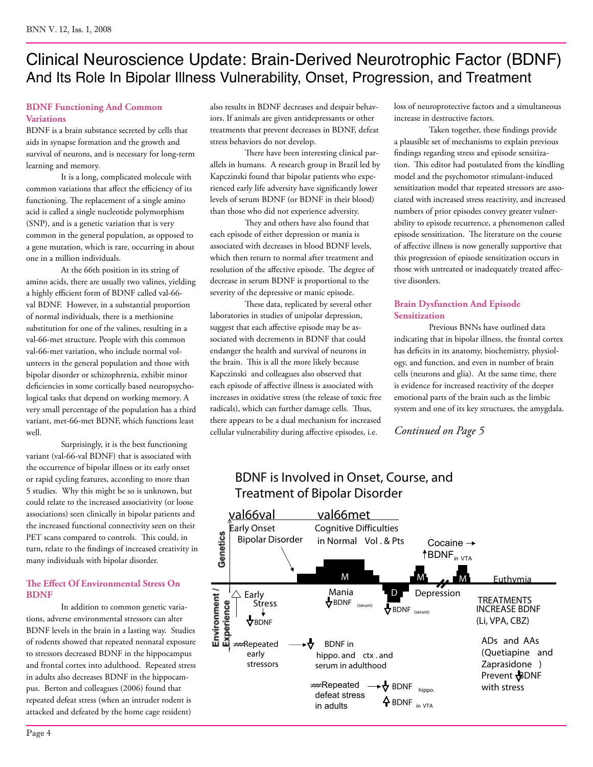### Clinical Neuroscience Update: Brain-Derived Neurotrophic Factor (BDNF) And Its Role In Bipolar Illness Vulnerability, Onset, Progression, and Treatment

### **BDNF Functioning And Common Variations**

BDNF is a brain substance secreted by cells that aids in synapse formation and the growth and survival of neurons, and is necessary for long-term learning and memory.

It is a long, complicated molecule with common variations that affect the efficiency of its functioning. The replacement of a single amino acid is called a single nucleotide polymorphism (SNP), and is a genetic variation that is very common in the general population, as opposed to a gene mutation, which is rare, occurring in about one in a million individuals.

At the 66th position in its string of amino acids, there are usually two valines, yielding a highly efficient form of BDNF called val-66 val BDNF. However, in a substantial proportion of normal individuals, there is a methionine substitution for one of the valines, resulting in a val-66-met structure. People with this common val-66-met variation, who include normal volunteers in the general population and those with bipolar disorder or schizophrenia, exhibit minor deficiencies in some cortically based neuropsychological tasks that depend on working memory. A very small percentage of the population has a third variant, met-66-met BDNF, which functions least well.

Surprisingly, it is the best functioning variant (val-66-val BDNF) that is associated with the occurrence of bipolar illness or its early onset or rapid cycling features, according to more than 5 studies. Why this might be so is unknown, but could relate to the increased associativity (or loose associations) seen clinically in bipolar patients and the increased functional connectivity seen on their PET scans compared to controls. This could, in turn, relate to the findings of increased creativity in many individuals with bipolar disorder.

#### **The Effect Of Environmental Stress On BDNF**

In addition to common genetic variations, adverse environmental stressors can alter BDNF levels in the brain in a lasting way. Studies of rodents showed that repeated neonatal exposure to stressors decreased BDNF in the hippocampus and frontal cortex into adulthood. Repeated stress in adults also decreases BDNF in the hippocampus. Berton and colleagues (2006) found that repeated defeat stress (when an intruder rodent is attacked and defeated by the home cage resident)

also results in BDNF decreases and despair behaviors. If animals are given antidepressants or other treatments that prevent decreases in BDNF, defeat stress behaviors do not develop.

There have been interesting clinical parallels in humans. A research group in Brazil led by Kapczinski found that bipolar patients who experienced early life adversity have significantly lower levels of serum BDNF (or BDNF in their blood) than those who did not experience adversity.

They and others have also found that each episode of either depression or mania is associated with decreases in blood BDNF levels, which then return to normal after treatment and resolution of the affective episode. The degree of decrease in serum BDNF is proportional to the severity of the depressive or manic episode.

These data, replicated by several other laboratories in studies of unipolar depression, suggest that each affective episode may be associated with decrements in BDNF that could endanger the health and survival of neurons in the brain. This is all the more likely because Kapczinski and colleagues also observed that each episode of affective illness is associated with increases in oxidative stress (the release of toxic free radicals), which can further damage cells. Thus, there appears to be a dual mechanism for increased cellular vulnerability during affective episodes, i.e.

loss of neuroprotective factors and a simultaneous increase in destructive factors.

Taken together, these findings provide a plausible set of mechanisms to explain previous findings regarding stress and episode sensitization. This editor had postulated from the kindling model and the psychomotor stimulant-induced sensitization model that repeated stressors are associated with increased stress reactivity, and increased numbers of prior episodes convey greater vulnerability to episode recurrence, a phenomenon called episode sensitization. The literature on the course of affective illness is now generally supportive that this progression of episode sensitization occurs in those with untreated or inadequately treated affective disorders.

### **Brain Dysfunction And Episode Sensitization**

Previous BNNs have outlined data indicating that in bipolar illness, the frontal cortex has deficits in its anatomy, biochemistry, physiology, and function, and even in number of brain cells (neurons and glia). At the same time, there is evidence for increased reactivity of the deeper emotional parts of the brain such as the limbic system and one of its key structures, the amygdala.

*Continued on Page 5*



### BDNF is Involved in Onset, Course, and Treatment of Bipolar Disorder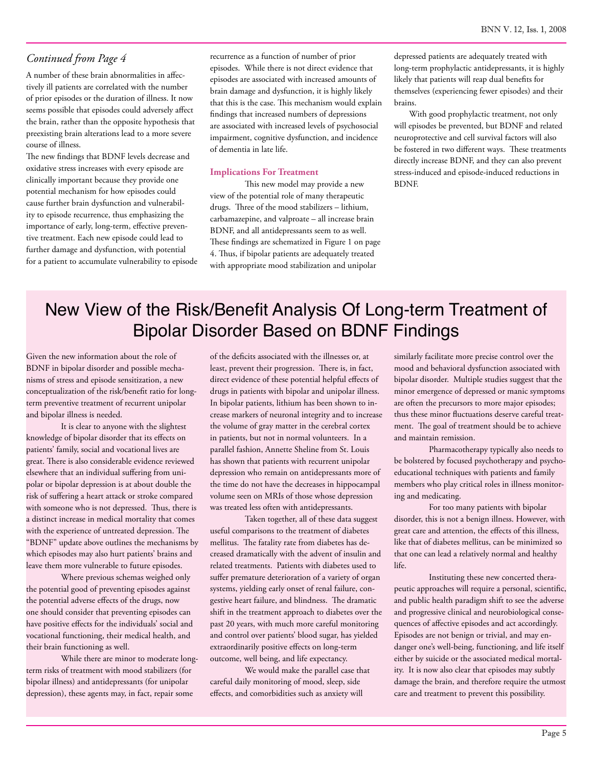A number of these brain abnormalities in affectively ill patients are correlated with the number of prior episodes or the duration of illness. It now seems possible that episodes could adversely affect the brain, rather than the opposite hypothesis that preexisting brain alterations lead to a more severe course of illness.

The new findings that BDNF levels decrease and oxidative stress increases with every episode are clinically important because they provide one potential mechanism for how episodes could cause further brain dysfunction and vulnerability to episode recurrence, thus emphasizing the importance of early, long-term, effective preventive treatment. Each new episode could lead to further damage and dysfunction, with potential for a patient to accumulate vulnerability to episode recurrence as a function of number of prior episodes. While there is not direct evidence that episodes are associated with increased amounts of brain damage and dysfunction, it is highly likely that this is the case. This mechanism would explain findings that increased numbers of depressions are associated with increased levels of psychosocial impairment, cognitive dysfunction, and incidence of dementia in late life.

#### **Implications For Treatment**

This new model may provide a new view of the potential role of many therapeutic drugs. Three of the mood stabilizers – lithium, carbamazepine, and valproate – all increase brain BDNF, and all antidepressants seem to as well. These findings are schematized in Figure 1 on page 4. Thus, if bipolar patients are adequately treated with appropriate mood stabilization and unipolar

depressed patients are adequately treated with long-term prophylactic antidepressants, it is highly likely that patients will reap dual benefits for themselves (experiencing fewer episodes) and their brains.

 With good prophylactic treatment, not only will episodes be prevented, but BDNF and related neuroprotective and cell survival factors will also be fostered in two different ways. These treatments directly increase BDNF, and they can also prevent stress-induced and episode-induced reductions in BDNF.

### New View of the Risk/Benefit Analysis Of Long-term Treatment of Bipolar Disorder Based on BDNF Findings

Given the new information about the role of BDNF in bipolar disorder and possible mechanisms of stress and episode sensitization, a new conceptualization of the risk/benefit ratio for longterm preventive treatment of recurrent unipolar and bipolar illness is needed.

It is clear to anyone with the slightest knowledge of bipolar disorder that its effects on patients' family, social and vocational lives are great. There is also considerable evidence reviewed elsewhere that an individual suffering from unipolar or bipolar depression is at about double the risk of suffering a heart attack or stroke compared with someone who is not depressed. Thus, there is a distinct increase in medical mortality that comes with the experience of untreated depression. The "BDNF" update above outlines the mechanisms by which episodes may also hurt patients' brains and leave them more vulnerable to future episodes.

Where previous schemas weighed only the potential good of preventing episodes against the potential adverse effects of the drugs, now one should consider that preventing episodes can have positive effects for the individuals' social and vocational functioning, their medical health, and their brain functioning as well.

While there are minor to moderate longterm risks of treatment with mood stabilizers (for bipolar illness) and antidepressants (for unipolar depression), these agents may, in fact, repair some

of the deficits associated with the illnesses or, at least, prevent their progression. There is, in fact, direct evidence of these potential helpful effects of drugs in patients with bipolar and unipolar illness. In bipolar patients, lithium has been shown to increase markers of neuronal integrity and to increase the volume of gray matter in the cerebral cortex in patients, but not in normal volunteers. In a parallel fashion, Annette Sheline from St. Louis has shown that patients with recurrent unipolar depression who remain on antidepressants more of the time do not have the decreases in hippocampal volume seen on MRIs of those whose depression was treated less often with antidepressants.

Taken together, all of these data suggest useful comparisons to the treatment of diabetes mellitus. The fatality rate from diabetes has decreased dramatically with the advent of insulin and related treatments. Patients with diabetes used to suffer premature deterioration of a variety of organ systems, yielding early onset of renal failure, congestive heart failure, and blindness. The dramatic shift in the treatment approach to diabetes over the past 20 years, with much more careful monitoring and control over patients' blood sugar, has yielded extraordinarily positive effects on long-term outcome, well being, and life expectancy.

We would make the parallel case that careful daily monitoring of mood, sleep, side effects, and comorbidities such as anxiety will

similarly facilitate more precise control over the mood and behavioral dysfunction associated with bipolar disorder. Multiple studies suggest that the minor emergence of depressed or manic symptoms are often the precursors to more major episodes; thus these minor fluctuations deserve careful treatment. The goal of treatment should be to achieve and maintain remission.

Pharmacotherapy typically also needs to be bolstered by focused psychotherapy and psychoeducational techniques with patients and family members who play critical roles in illness monitoring and medicating.

For too many patients with bipolar disorder, this is not a benign illness. However, with great care and attention, the effects of this illness, like that of diabetes mellitus, can be minimized so that one can lead a relatively normal and healthy life.

Instituting these new concerted therapeutic approaches will require a personal, scientific, and public health paradigm shift to see the adverse and progressive clinical and neurobiological consequences of affective episodes and act accordingly. Episodes are not benign or trivial, and may endanger one's well-being, functioning, and life itself either by suicide or the associated medical mortality. It is now also clear that episodes may subtly damage the brain, and therefore require the utmost care and treatment to prevent this possibility.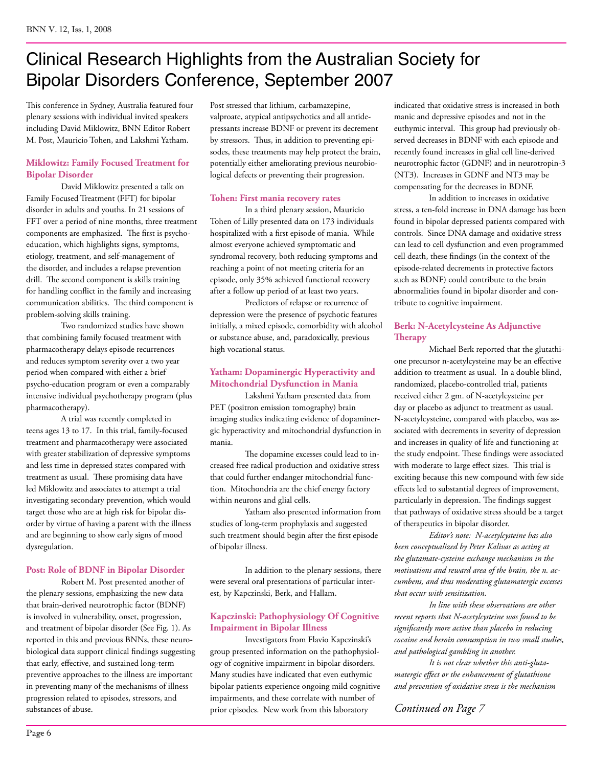## Clinical Research Highlights from the Australian Society for Bipolar Disorders Conference, September 2007

This conference in Sydney, Australia featured four plenary sessions with individual invited speakers including David Miklowitz, BNN Editor Robert M. Post, Mauricio Tohen, and Lakshmi Yatham.

### **Miklowitz: Family Focused Treatment for Bipolar Disorder**

David Miklowitz presented a talk on Family Focused Treatment (FFT) for bipolar disorder in adults and youths. In 21 sessions of FFT over a period of nine months, three treatment components are emphasized. The first is psychoeducation, which highlights signs, symptoms, etiology, treatment, and self-management of the disorder, and includes a relapse prevention drill. The second component is skills training for handling conflict in the family and increasing communication abilities. The third component is problem-solving skills training.

Two randomized studies have shown that combining family focused treatment with pharmacotherapy delays episode recurrences and reduces symptom severity over a two year period when compared with either a brief psycho-education program or even a comparably intensive individual psychotherapy program (plus pharmacotherapy).

A trial was recently completed in teens ages 13 to 17. In this trial, family-focused treatment and pharmacotherapy were associated with greater stabilization of depressive symptoms and less time in depressed states compared with treatment as usual. These promising data have led Miklowitz and associates to attempt a trial investigating secondary prevention, which would target those who are at high risk for bipolar disorder by virtue of having a parent with the illness and are beginning to show early signs of mood dysregulation.

### **Post: Role of BDNF in Bipolar Disorder**

Robert M. Post presented another of the plenary sessions, emphasizing the new data that brain-derived neurotrophic factor (BDNF) is involved in vulnerability, onset, progression, and treatment of bipolar disorder (See Fig. 1). As reported in this and previous BNNs, these neurobiological data support clinical findings suggesting that early, effective, and sustained long-term preventive approaches to the illness are important in preventing many of the mechanisms of illness progression related to episodes, stressors, and substances of abuse.

Post stressed that lithium, carbamazepine, valproate, atypical antipsychotics and all antidepressants increase BDNF or prevent its decrement by stressors. Thus, in addition to preventing episodes, these treatments may help protect the brain, potentially either ameliorating previous neurobiological defects or preventing their progression.

### **Tohen: First mania recovery rates**

In a third plenary session, Mauricio Tohen of Lilly presented data on 173 individuals hospitalized with a first episode of mania. While almost everyone achieved symptomatic and syndromal recovery, both reducing symptoms and reaching a point of not meeting criteria for an episode, only 35% achieved functional recovery after a follow up period of at least two years.

Predictors of relapse or recurrence of depression were the presence of psychotic features initially, a mixed episode, comorbidity with alcohol or substance abuse, and, paradoxically, previous high vocational status.

### **Yatham: Dopaminergic Hyperactivity and Mitochondrial Dysfunction in Mania**

Lakshmi Yatham presented data from PET (positron emission tomography) brain imaging studies indicating evidence of dopaminergic hyperactivity and mitochondrial dysfunction in mania.

The dopamine excesses could lead to increased free radical production and oxidative stress that could further endanger mitochondrial function. Mitochondria are the chief energy factory within neurons and glial cells.

Yatham also presented information from studies of long-term prophylaxis and suggested such treatment should begin after the first episode of bipolar illness.

In addition to the plenary sessions, there were several oral presentations of particular interest, by Kapczinski, Berk, and Hallam.

### **Kapczinski: Pathophysiology Of Cognitive Impairment in Bipolar Illness**

Investigators from Flavio Kapczinski's group presented information on the pathophysiology of cognitive impairment in bipolar disorders. Many studies have indicated that even euthymic bipolar patients experience ongoing mild cognitive impairments, and these correlate with number of prior episodes. New work from this laboratory

indicated that oxidative stress is increased in both manic and depressive episodes and not in the euthymic interval. This group had previously observed decreases in BDNF with each episode and recently found increases in glial cell line-derived neurotrophic factor (GDNF) and in neurotropin-3 (NT3). Increases in GDNF and NT3 may be compensating for the decreases in BDNF.

In addition to increases in oxidative stress, a ten-fold increase in DNA damage has been found in bipolar depressed patients compared with controls. Since DNA damage and oxidative stress can lead to cell dysfunction and even programmed cell death, these findings (in the context of the episode-related decrements in protective factors such as BDNF) could contribute to the brain abnormalities found in bipolar disorder and contribute to cognitive impairment.

### **Berk: N-Acetylcysteine As Adjunctive Therapy**

Michael Berk reported that the glutathione precursor n-acetylcysteine may be an effective addition to treatment as usual. In a double blind, randomized, placebo-controlled trial, patients received either 2 gm. of N-acetylcysteine per day or placebo as adjunct to treatment as usual. N-acetylcysteine, compared with placebo, was associated with decrements in severity of depression and increases in quality of life and functioning at the study endpoint. These findings were associated with moderate to large effect sizes. This trial is exciting because this new compound with few side effects led to substantial degrees of improvement, particularly in depression. The findings suggest that pathways of oxidative stress should be a target of therapeutics in bipolar disorder.

*Editor's note: N-acetylcysteine has also been conceptualized by Peter Kalivas as acting at the glutamate-cysteine exchange mechanism in the motivations and reward area of the brain, the n. accumbens, and thus moderating glutamatergic excesses that occur with sensitization.* 

*In line with these observations are other recent reports that N-acetylcysteine was found to be significantly more active than placebo in reducing cocaine and heroin consumption in two small studies, and pathological gambling in another.* 

*It is not clear whether this anti-glutamatergic effect or the enhancement of glutathione and prevention of oxidative stress is the mechanism*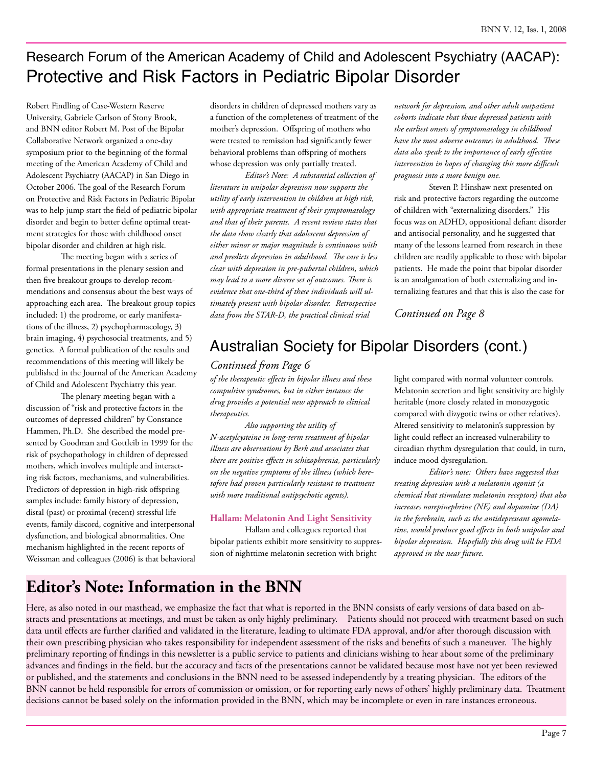### Research Forum of the American Academy of Child and Adolescent Psychiatry (AACAP): Protective and Risk Factors in Pediatric Bipolar Disorder

Robert Findling of Case-Western Reserve University, Gabriele Carlson of Stony Brook, and BNN editor Robert M. Post of the Bipolar Collaborative Network organized a one-day symposium prior to the beginning of the formal meeting of the American Academy of Child and Adolescent Psychiatry (AACAP) in San Diego in October 2006. The goal of the Research Forum on Protective and Risk Factors in Pediatric Bipolar was to help jump start the field of pediatric bipolar disorder and begin to better define optimal treatment strategies for those with childhood onset bipolar disorder and children at high risk.

The meeting began with a series of formal presentations in the plenary session and then five breakout groups to develop recommendations and consensus about the best ways of approaching each area. The breakout group topics included: 1) the prodrome, or early manifestations of the illness, 2) psychopharmacology, 3) brain imaging, 4) psychosocial treatments, and 5) genetics. A formal publication of the results and recommendations of this meeting will likely be published in the Journal of the American Academy of Child and Adolescent Psychiatry this year.

The plenary meeting began with a discussion of "risk and protective factors in the outcomes of depressed children" by Constance Hammen, Ph.D. She described the model presented by Goodman and Gottleib in 1999 for the risk of psychopathology in children of depressed mothers, which involves multiple and interacting risk factors, mechanisms, and vulnerabilities. Predictors of depression in high-risk offspring samples include: family history of depression, distal (past) or proximal (recent) stressful life events, family discord, cognitive and interpersonal dysfunction, and biological abnormalities. One mechanism highlighted in the recent reports of Weissman and colleagues (2006) is that behavioral disorders in children of depressed mothers vary as a function of the completeness of treatment of the mother's depression. Offspring of mothers who were treated to remission had significantly fewer behavioral problems than offspring of mothers whose depression was only partially treated.

*Editor's Note: A substantial collection of literature in unipolar depression now supports the utility of early intervention in children at high risk, with appropriate treatment of their symptomatology and that of their parents. A recent review states that the data show clearly that adolescent depression of either minor or major magnitude is continuous with and predicts depression in adulthood. The case is less clear with depression in pre-pubertal children, which may lead to a more diverse set of outcomes. There is evidence that one-third of these individuals will ultimately present with bipolar disorder. Retrospective data from the STAR-D, the practical clinical trial* 

*network for depression, and other adult outpatient cohorts indicate that those depressed patients with the earliest onsets of symptomatology in childhood have the most adverse outcomes in adulthood. These data also speak to the importance of early effective intervention in hopes of changing this more difficult prognosis into a more benign one.* 

Steven P. Hinshaw next presented on risk and protective factors regarding the outcome of children with "externalizing disorders." His focus was on ADHD, oppositional defiant disorder and antisocial personality, and he suggested that many of the lessons learned from research in these children are readily applicable to those with bipolar patients. He made the point that bipolar disorder is an amalgamation of both externalizing and internalizing features and that this is also the case for

*Continued on Page 8*

### Australian Society for Bipolar Disorders (cont.)

### *Continued from Page 6*

*of the therapeutic effects in bipolar illness and these compulsive syndromes, but in either instance the drug provides a potential new approach to clinical therapeutics.* 

*Also supporting the utility of N-acetylcysteine in long-term treatment of bipolar illness are observations by Berk and associates that there are positive effects in schizophrenia, particularly on the negative symptoms of the illness (which heretofore had proven particularly resistant to treatment with more traditional antipsychotic agents).*

#### **Hallam: Melatonin And Light Sensitivity**

Hallam and colleagues reported that bipolar patients exhibit more sensitivity to suppression of nighttime melatonin secretion with bright

light compared with normal volunteer controls. Melatonin secretion and light sensitivity are highly heritable (more closely related in monozygotic compared with dizygotic twins or other relatives). Altered sensitivity to melatonin's suppression by light could reflect an increased vulnerability to circadian rhythm dysregulation that could, in turn, induce mood dysregulation.

*Editor's note: Others have suggested that treating depression with a melatonin agonist (a chemical that stimulates melatonin receptors) that also increases norepinephrine (NE) and dopamine (DA) in the forebrain, such as the antidepressant agomelatine, would produce good effects in both unipolar and bipolar depression. Hopefully this drug will be FDA approved in the near future.*

### **Editor's Note: Information in the BNN**

Here, as also noted in our masthead, we emphasize the fact that what is reported in the BNN consists of early versions of data based on abstracts and presentations at meetings, and must be taken as only highly preliminary. Patients should not proceed with treatment based on such data until effects are further clarified and validated in the literature, leading to ultimate FDA approval, and/or after thorough discussion with their own prescribing physician who takes responsibility for independent assessment of the risks and benefits of such a maneuver. The highly preliminary reporting of findings in this newsletter is a public service to patients and clinicians wishing to hear about some of the preliminary advances and findings in the field, but the accuracy and facts of the presentations cannot be validated because most have not yet been reviewed or published, and the statements and conclusions in the BNN need to be assessed independently by a treating physician. The editors of the BNN cannot be held responsible for errors of commission or omission, or for reporting early news of others' highly preliminary data. Treatment decisions cannot be based solely on the information provided in the BNN, which may be incomplete or even in rare instances erroneous.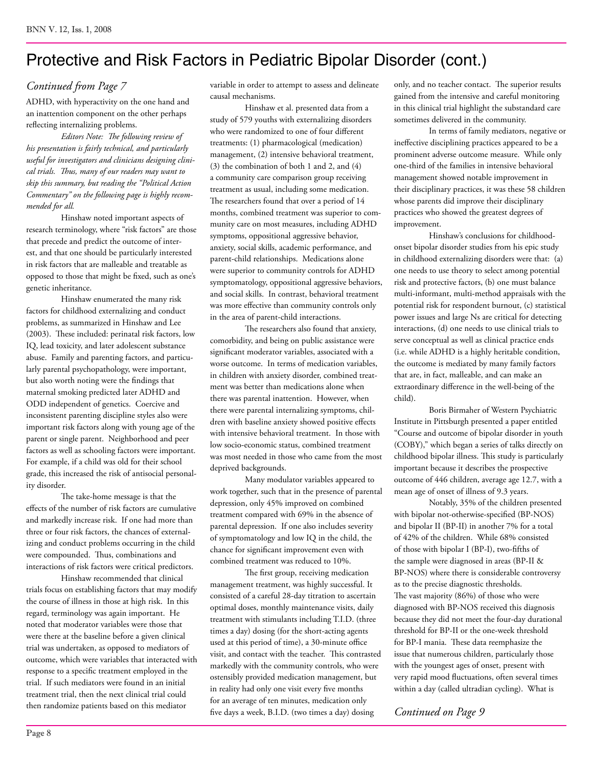### Protective and Risk Factors in Pediatric Bipolar Disorder (cont.)

### *Continued from Page 7*

ADHD, with hyperactivity on the one hand and an inattention component on the other perhaps reflecting internalizing problems.

*Editors Note: The following review of his presentation is fairly technical, and particularly useful for investigators and clinicians designing clinical trials. Thus, many of our readers may want to skip this summary, but reading the "Political Action Commentary" on the following page is highly recommended for all.*

Hinshaw noted important aspects of research terminology, where "risk factors" are those that precede and predict the outcome of interest, and that one should be particularly interested in risk factors that are malleable and treatable as opposed to those that might be fixed, such as one's genetic inheritance.

Hinshaw enumerated the many risk factors for childhood externalizing and conduct problems, as summarized in Hinshaw and Lee (2003). These included: perinatal risk factors, low IQ, lead toxicity, and later adolescent substance abuse. Family and parenting factors, and particularly parental psychopathology, were important, but also worth noting were the findings that maternal smoking predicted later ADHD and ODD independent of genetics. Coercive and inconsistent parenting discipline styles also were important risk factors along with young age of the parent or single parent. Neighborhood and peer factors as well as schooling factors were important. For example, if a child was old for their school grade, this increased the risk of antisocial personality disorder.

The take-home message is that the effects of the number of risk factors are cumulative and markedly increase risk. If one had more than three or four risk factors, the chances of externalizing and conduct problems occurring in the child were compounded. Thus, combinations and interactions of risk factors were critical predictors.

Hinshaw recommended that clinical trials focus on establishing factors that may modify the course of illness in those at high risk. In this regard, terminology was again important. He noted that moderator variables were those that were there at the baseline before a given clinical trial was undertaken, as opposed to mediators of outcome, which were variables that interacted with response to a specific treatment employed in the trial. If such mediators were found in an initial treatment trial, then the next clinical trial could then randomize patients based on this mediator

variable in order to attempt to assess and delineate causal mechanisms.

Hinshaw et al. presented data from a study of 579 youths with externalizing disorders who were randomized to one of four different treatments: (1) pharmacological (medication) management, (2) intensive behavioral treatment, (3) the combination of both 1 and 2, and (4) a community care comparison group receiving treatment as usual, including some medication. The researchers found that over a period of 14 months, combined treatment was superior to community care on most measures, including ADHD symptoms, oppositional aggressive behavior, anxiety, social skills, academic performance, and parent-child relationships. Medications alone were superior to community controls for ADHD symptomatology, oppositional aggressive behaviors, and social skills. In contrast, behavioral treatment was more effective than community controls only in the area of parent-child interactions.

The researchers also found that anxiety, comorbidity, and being on public assistance were significant moderator variables, associated with a worse outcome. In terms of medication variables, in children with anxiety disorder, combined treatment was better than medications alone when there was parental inattention. However, when there were parental internalizing symptoms, children with baseline anxiety showed positive effects with intensive behavioral treatment. In those with low socio-economic status, combined treatment was most needed in those who came from the most deprived backgrounds.

Many modulator variables appeared to work together, such that in the presence of parental depression, only 45% improved on combined treatment compared with 69% in the absence of parental depression. If one also includes severity of symptomatology and low IQ in the child, the chance for significant improvement even with combined treatment was reduced to 10%.

The first group, receiving medication management treatment, was highly successful. It consisted of a careful 28-day titration to ascertain optimal doses, monthly maintenance visits, daily treatment with stimulants including T.I.D. (three times a day) dosing (for the short-acting agents used at this period of time), a 30-minute office visit, and contact with the teacher. This contrasted markedly with the community controls, who were ostensibly provided medication management, but in reality had only one visit every five months for an average of ten minutes, medication only five days a week, B.I.D. (two times a day) dosing

only, and no teacher contact. The superior results gained from the intensive and careful monitoring in this clinical trial highlight the substandard care sometimes delivered in the community.

In terms of family mediators, negative or ineffective disciplining practices appeared to be a prominent adverse outcome measure. While only one-third of the families in intensive behavioral management showed notable improvement in their disciplinary practices, it was these 58 children whose parents did improve their disciplinary practices who showed the greatest degrees of improvement.

Hinshaw's conclusions for childhoodonset bipolar disorder studies from his epic study in childhood externalizing disorders were that: (a) one needs to use theory to select among potential risk and protective factors, (b) one must balance multi-informant, multi-method appraisals with the potential risk for respondent burnout, (c) statistical power issues and large Ns are critical for detecting interactions, (d) one needs to use clinical trials to serve conceptual as well as clinical practice ends (i.e. while ADHD is a highly heritable condition, the outcome is mediated by many family factors that are, in fact, malleable, and can make an extraordinary difference in the well-being of the child).

Boris Birmaher of Western Psychiatric Institute in Pittsburgh presented a paper entitled "Course and outcome of bipolar disorder in youth (COBY)," which began a series of talks directly on childhood bipolar illness. This study is particularly important because it describes the prospective outcome of 446 children, average age 12.7, with a mean age of onset of illness of 9.3 years.

Notably, 35% of the children presented with bipolar not-otherwise-specified (BP-NOS) and bipolar II (BP-II) in another 7% for a total of 42% of the children. While 68% consisted of those with bipolar I (BP-I), two-fifths of the sample were diagnosed in areas (BP-II & BP-NOS) where there is considerable controversy as to the precise diagnostic thresholds. The vast majority (86%) of those who were diagnosed with BP-NOS received this diagnosis because they did not meet the four-day durational threshold for BP-II or the one-week threshold for BP-I mania. These data reemphasize the issue that numerous children, particularly those with the youngest ages of onset, present with very rapid mood fluctuations, often several times within a day (called ultradian cycling). What is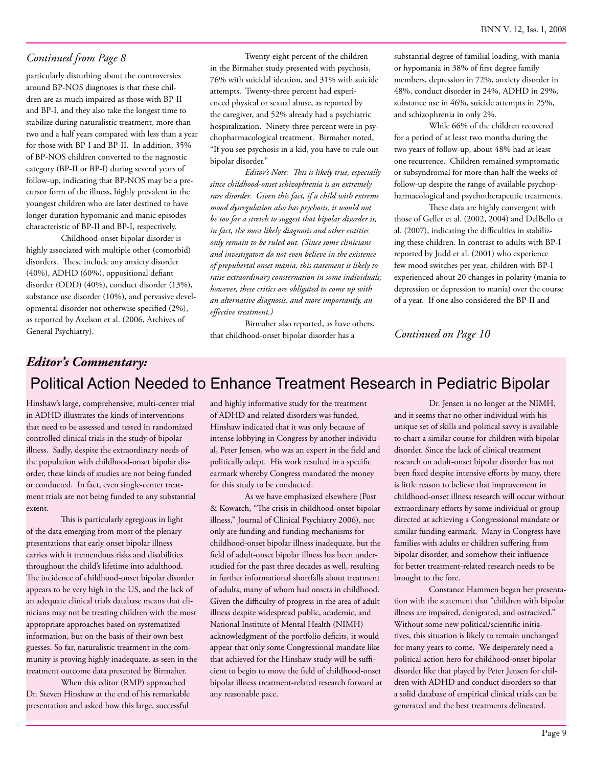particularly disturbing about the controversies around BP-NOS diagnoses is that these children are as much impaired as those with BP-II and BP-I, and they also take the longest time to stabilize during naturalistic treatment, more than two and a half years compared with less than a year for those with BP-I and BP-II. In addition, 35% of BP-NOS children converted to the nagnostic category (BP-II or BP-I) during several years of follow-up, indicating that BP-NOS may be a precursor form of the illness, highly prevalent in the youngest children who are later destined to have longer duration hypomanic and manic episodes characteristic of BP-II and BP-I, respectively.

Childhood-onset bipolar disorder is highly associated with multiple other (comorbid) disorders. These include any anxiety disorder (40%), ADHD (60%), oppositional defiant disorder (ODD) (40%), conduct disorder (13%), substance use disorder (10%), and pervasive developmental disorder not otherwise specified (2%), as reported by Axelson et al. (2006, Archives of General Psychiatry).

Twenty-eight percent of the children in the Birmaher study presented with psychosis, 76% with suicidal ideation, and 31% with suicide attempts. Twenty-three percent had experienced physical or sexual abuse, as reported by the caregiver, and 52% already had a psychiatric hospitalization. Ninety-three percent were in psychopharmacological treatment. Birmaher noted, "If you see psychosis in a kid, you have to rule out bipolar disorder."

*Editor's Note: This is likely true, especially since childhood-onset schizophrenia is an extremely rare disorder. Given this fact, if a child with extreme mood dysregulation also has psychosis, it would not be too far a stretch to suggest that bipolar disorder is, in fact, the most likely diagnosis and other entities only remain to be ruled out. (Since some clinicians and investigators do not even believe in the existence of prepubertal onset mania, this statement is likely to raise extraordinary consternation in some individuals; however, these critics are obligated to come up with an alternative diagnosis, and more importantly, an effective treatment.)*

Birmaher also reported, as have others, that childhood-onset bipolar disorder has a

substantial degree of familial loading, with mania or hypomania in 38% of first degree family members, depression in 72%, anxiety disorder in 48%, conduct disorder in 24%, ADHD in 29%, substance use in 46%, suicide attempts in 25%, and schizophrenia in only 2%.

While 66% of the children recovered for a period of at least two months during the two years of follow-up, about 48% had at least one recurrence. Children remained symptomatic or subsyndromal for more than half the weeks of follow-up despite the range of available psychopharmacological and psychotherapeutic treatments.

These data are highly convergent with those of Geller et al. (2002, 2004) and DelBello et al. (2007), indicating the difficulties in stabilizing these children. In contrast to adults with BP-I reported by Judd et al. (2001) who experience few mood switches per year, children with BP-I experienced about 20 changes in polarity (mania to depression or depression to mania) over the course of a year. If one also considered the BP-II and

*Continued on Page 10*

### Political Action Needed to Enhance Treatment Research in Pediatric Bipolar *Editor's Commentary:*

Hinshaw's large, comprehensive, multi-center trial in ADHD illustrates the kinds of interventions that need to be assessed and tested in randomized controlled clinical trials in the study of bipolar illness. Sadly, despite the extraordinary needs of the population with childhood-onset bipolar disorder, these kinds of studies are not being funded or conducted. In fact, even single-center treatment trials are not being funded to any substantial extent.

This is particularly egregious in light of the data emerging from most of the plenary presentations that early onset bipolar illness carries with it tremendous risks and disabilities throughout the child's lifetime into adulthood. The incidence of childhood-onset bipolar disorder appears to be very high in the US, and the lack of an adequate clinical trials database means that clinicians may not be treating children with the most appropriate approaches based on systematized information, but on the basis of their own best guesses. So far, naturalistic treatment in the community is proving highly inadequate, as seen in the treatment outcome data presented by Birmaher.

When this editor (RMP) approached Dr. Steven Hinshaw at the end of his remarkable presentation and asked how this large, successful

and highly informative study for the treatment of ADHD and related disorders was funded, Hinshaw indicated that it was only because of intense lobbying in Congress by another individual, Peter Jensen, who was an expert in the field and politically adept. His work resulted in a specific earmark whereby Congress mandated the money for this study to be conducted.

As we have emphasized elsewhere (Post & Kowatch, "The crisis in childhood-onset bipolar illness," Journal of Clinical Psychiatry 2006), not only are funding and funding mechanisms for childhood-onset bipolar illness inadequate, but the field of adult-onset bipolar illness has been understudied for the past three decades as well, resulting in further informational shortfalls about treatment of adults, many of whom had onsets in childhood. Given the difficulty of progress in the area of adult illness despite widespread public, academic, and National Institute of Mental Health (NIMH) acknowledgment of the portfolio deficits, it would appear that only some Congressional mandate like that achieved for the Hinshaw study will be sufficient to begin to move the field of childhood-onset bipolar illness treatment-related research forward at any reasonable pace.

Dr. Jensen is no longer at the NIMH, and it seems that no other individual with his unique set of skills and political savvy is available to chart a similar course for children with bipolar disorder. Since the lack of clinical treatment research on adult-onset bipolar disorder has not been fixed despite intensive efforts by many, there is little reason to believe that improvement in childhood-onset illness research will occur without extraordinary efforts by some individual or group directed at achieving a Congressional mandate or similar funding earmark. Many in Congress have families with adults or children suffering from bipolar disorder, and somehow their influence for better treatment-related research needs to be brought to the fore.

Constance Hammen began her presentation with the statement that "children with bipolar illness are impaired, denigrated, and ostracized." Without some new political/scientific initiatives, this situation is likely to remain unchanged for many years to come. We desperately need a political action hero for childhood-onset bipolar disorder like that played by Peter Jensen for children with ADHD and conduct disorders so that a solid database of empirical clinical trials can be generated and the best treatments delineated.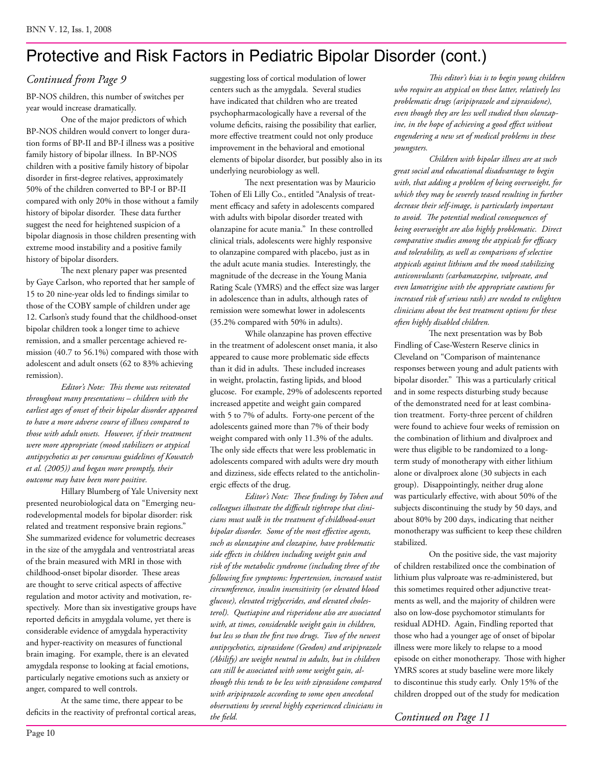### Protective and Risk Factors in Pediatric Bipolar Disorder (cont.)

### *Continued from Page 9*

BP-NOS children, this number of switches per year would increase dramatically.

One of the major predictors of which BP-NOS children would convert to longer duration forms of BP-II and BP-I illness was a positive family history of bipolar illness. In BP-NOS children with a positive family history of bipolar disorder in first-degree relatives, approximately 50% of the children converted to BP-I or BP-II compared with only 20% in those without a family history of bipolar disorder. These data further suggest the need for heightened suspicion of a bipolar diagnosis in those children presenting with extreme mood instability and a positive family history of bipolar disorders.

The next plenary paper was presented by Gaye Carlson, who reported that her sample of 15 to 20 nine-year olds led to findings similar to those of the COBY sample of children under age 12. Carlson's study found that the childhood-onset bipolar children took a longer time to achieve remission, and a smaller percentage achieved remission (40.7 to 56.1%) compared with those with adolescent and adult onsets (62 to 83% achieving remission).

*Editor's Note: This theme was reiterated throughout many presentations – children with the earliest ages of onset of their bipolar disorder appeared to have a more adverse course of illness compared to those with adult onsets. However, if their treatment were more appropriate (mood stabilizers or atypical antipsychotics as per consensus guidelines of Kowatch et al. (2005)) and began more promptly, their outcome may have been more positive.* 

Hillary Blumberg of Yale University next presented neurobiological data on "Emerging neurodevelopmental models for bipolar disorder: risk related and treatment responsive brain regions." She summarized evidence for volumetric decreases in the size of the amygdala and ventrostriatal areas of the brain measured with MRI in those with childhood-onset bipolar disorder. These areas are thought to serve critical aspects of affective regulation and motor activity and motivation, respectively. More than six investigative groups have reported deficits in amygdala volume, yet there is considerable evidence of amygdala hyperactivity and hyper-reactivity on measures of functional brain imaging. For example, there is an elevated amygdala response to looking at facial emotions, particularly negative emotions such as anxiety or anger, compared to well controls.

At the same time, there appear to be deficits in the reactivity of prefrontal cortical areas, suggesting loss of cortical modulation of lower centers such as the amygdala. Several studies have indicated that children who are treated psychopharmacologically have a reversal of the volume deficits, raising the possibility that earlier, more effective treatment could not only produce improvement in the behavioral and emotional elements of bipolar disorder, but possibly also in its underlying neurobiology as well.

The next presentation was by Mauricio Tohen of Eli Lilly Co., entitled "Analysis of treatment efficacy and safety in adolescents compared with adults with bipolar disorder treated with olanzapine for acute mania." In these controlled clinical trials, adolescents were highly responsive to olanzapine compared with placebo, just as in the adult acute mania studies. Interestingly, the magnitude of the decrease in the Young Mania Rating Scale (YMRS) and the effect size was larger in adolescence than in adults, although rates of remission were somewhat lower in adolescents (35.2% compared with 50% in adults).

While olanzapine has proven effective in the treatment of adolescent onset mania, it also appeared to cause more problematic side effects than it did in adults. These included increases in weight, prolactin, fasting lipids, and blood glucose. For example, 29% of adolescents reported increased appetite and weight gain compared with 5 to 7% of adults. Forty-one percent of the adolescents gained more than 7% of their body weight compared with only 11.3% of the adults. The only side effects that were less problematic in adolescents compared with adults were dry mouth and dizziness, side effects related to the anticholinergic effects of the drug.

*Editor's Note: These findings by Tohen and colleagues illustrate the difficult tightrope that clinicians must walk in the treatment of childhood-onset bipolar disorder. Some of the most effective agents, such as olanzapine and clozapine, have problematic side effects in children including weight gain and risk of the metabolic syndrome (including three of the following five symptoms: hypertension, increased waist circumference, insulin insensitivity (or elevated blood glucose), elevated triglycerides, and elevated cholesterol). Quetiapine and risperidone also are associated with, at times, considerable weight gain in children, but less so than the first two drugs. Two of the newest antipsychotics, ziprasidone (Geodon) and aripiprazole (Abilify) are weight neutral in adults, but in children can still be associated with some weight gain, although this tends to be less with ziprasidone compared with aripiprazole according to some open anecdotal observations by several highly experienced clinicians in the field.*

*This editor's bias is to begin young children who require an atypical on these latter, relatively less problematic drugs (aripiprazole and ziprasidone), even though they are less well studied than olanzapine, in the hope of achieving a good effect without engendering a new set of medical problems in these youngsters.* 

*Children with bipolar illness are at such great social and educational disadvantage to begin with, that adding a problem of being overweight, for which they may be severely teased resulting in further decrease their self-image, is particularly important to avoid. The potential medical consequences of being overweight are also highly problematic. Direct comparative studies among the atypicals for efficacy and tolerability, as well as comparisons of selective atypicals against lithium and the mood stabilizing anticonvulsants (carbamazepine, valproate, and even lamotrigine with the appropriate cautions for increased risk of serious rash) are needed to enlighten clinicians about the best treatment options for these often highly disabled children.*

The next presentation was by Bob Findling of Case-Western Reserve clinics in Cleveland on "Comparison of maintenance responses between young and adult patients with bipolar disorder." This was a particularly critical and in some respects disturbing study because of the demonstrated need for at least combination treatment. Forty-three percent of children were found to achieve four weeks of remission on the combination of lithium and divalproex and were thus eligible to be randomized to a longterm study of monotherapy with either lithium alone or divalproex alone (30 subjects in each group). Disappointingly, neither drug alone was particularly effective, with about 50% of the subjects discontinuing the study by 50 days, and about 80% by 200 days, indicating that neither monotherapy was sufficient to keep these children stabilized.

On the positive side, the vast majority of children restabilized once the combination of lithium plus valproate was re-administered, but this sometimes required other adjunctive treatments as well, and the majority of children were also on low-dose psychomotor stimulants for residual ADHD. Again, Findling reported that those who had a younger age of onset of bipolar illness were more likely to relapse to a mood episode on either monotherapy. Those with higher YMRS scores at study baseline were more likely to discontinue this study early. Only 15% of the children dropped out of the study for medication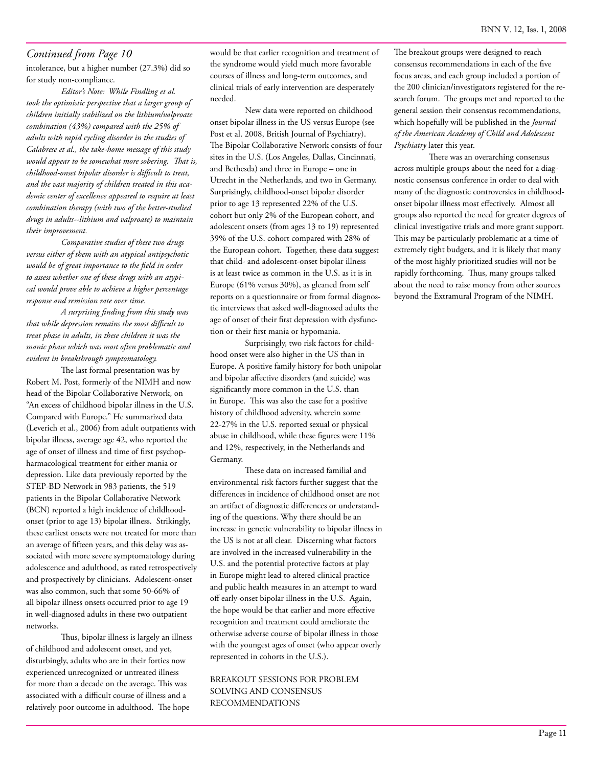intolerance, but a higher number (27.3%) did so for study non-compliance.

*Editor's Note: While Findling et al. took the optimistic perspective that a larger group of children initially stabilized on the lithium/valproate combination (43%) compared with the 25% of adults with rapid cycling disorder in the studies of Calabrese et al., the take-home message of this study would appear to be somewhat more sobering. That is, childhood-onset bipolar disorder is difficult to treat, and the vast majority of children treated in this academic center of excellence appeared to require at least combination therapy (with two of the better-studied drugs in adults--lithium and valproate) to maintain their improvement.* 

*Comparative studies of these two drugs versus either of them with an atypical antipsychotic would be of great importance to the field in order to assess whether one of these drugs with an atypical would prove able to achieve a higher percentage response and remission rate over time.* 

*A surprising finding from this study was that while depression remains the most difficult to treat phase in adults, in these children it was the manic phase which was most often problematic and evident in breakthrough symptomatology.*

The last formal presentation was by Robert M. Post, formerly of the NIMH and now head of the Bipolar Collaborative Network, on "An excess of childhood bipolar illness in the U.S. Compared with Europe." He summarized data (Leverich et al., 2006) from adult outpatients with bipolar illness, average age 42, who reported the age of onset of illness and time of first psychopharmacological treatment for either mania or depression. Like data previously reported by the STEP-BD Network in 983 patients, the 519 patients in the Bipolar Collaborative Network (BCN) reported a high incidence of childhoodonset (prior to age 13) bipolar illness. Strikingly, these earliest onsets were not treated for more than an average of fifteen years, and this delay was associated with more severe symptomatology during adolescence and adulthood, as rated retrospectively and prospectively by clinicians. Adolescent-onset was also common, such that some 50-66% of all bipolar illness onsets occurred prior to age 19 in well-diagnosed adults in these two outpatient networks.

Thus, bipolar illness is largely an illness of childhood and adolescent onset, and yet, disturbingly, adults who are in their forties now experienced unrecognized or untreated illness for more than a decade on the average. This was associated with a difficult course of illness and a relatively poor outcome in adulthood. The hope

would be that earlier recognition and treatment of the syndrome would yield much more favorable courses of illness and long-term outcomes, and clinical trials of early intervention are desperately needed.

New data were reported on childhood onset bipolar illness in the US versus Europe (see Post et al. 2008, British Journal of Psychiatry). The Bipolar Collaborative Network consists of four sites in the U.S. (Los Angeles, Dallas, Cincinnati, and Bethesda) and three in Europe – one in Utrecht in the Netherlands, and two in Germany. Surprisingly, childhood-onset bipolar disorder prior to age 13 represented 22% of the U.S. cohort but only 2% of the European cohort, and adolescent onsets (from ages 13 to 19) represented 39% of the U.S. cohort compared with 28% of the European cohort. Together, these data suggest that child- and adolescent-onset bipolar illness is at least twice as common in the U.S. as it is in Europe (61% versus 30%), as gleaned from self reports on a questionnaire or from formal diagnostic interviews that asked well-diagnosed adults the age of onset of their first depression with dysfunction or their first mania or hypomania.

Surprisingly, two risk factors for childhood onset were also higher in the US than in Europe. A positive family history for both unipolar and bipolar affective disorders (and suicide) was significantly more common in the U.S. than in Europe. This was also the case for a positive history of childhood adversity, wherein some 22-27% in the U.S. reported sexual or physical abuse in childhood, while these figures were 11% and 12%, respectively, in the Netherlands and Germany.

These data on increased familial and environmental risk factors further suggest that the differences in incidence of childhood onset are not an artifact of diagnostic differences or understanding of the questions. Why there should be an increase in genetic vulnerability to bipolar illness in the US is not at all clear. Discerning what factors are involved in the increased vulnerability in the U.S. and the potential protective factors at play in Europe might lead to altered clinical practice and public health measures in an attempt to ward off early-onset bipolar illness in the U.S. Again, the hope would be that earlier and more effective recognition and treatment could ameliorate the otherwise adverse course of bipolar illness in those with the youngest ages of onset (who appear overly represented in cohorts in the U.S.).

#### BREAKOUT SESSIONS FOR PROBLEM SOLVING AND CONSENSUS RECOMMENDATIONS

The breakout groups were designed to reach consensus recommendations in each of the five focus areas, and each group included a portion of the 200 clinician/investigators registered for the research forum. The groups met and reported to the general session their consensus recommendations, which hopefully will be published in the *Journal of the American Academy of Child and Adolescent Psychiatry* later this year.

There was an overarching consensus across multiple groups about the need for a diagnostic consensus conference in order to deal with many of the diagnostic controversies in childhoodonset bipolar illness most effectively. Almost all groups also reported the need for greater degrees of clinical investigative trials and more grant support. This may be particularly problematic at a time of extremely tight budgets, and it is likely that many of the most highly prioritized studies will not be rapidly forthcoming. Thus, many groups talked about the need to raise money from other sources beyond the Extramural Program of the NIMH.